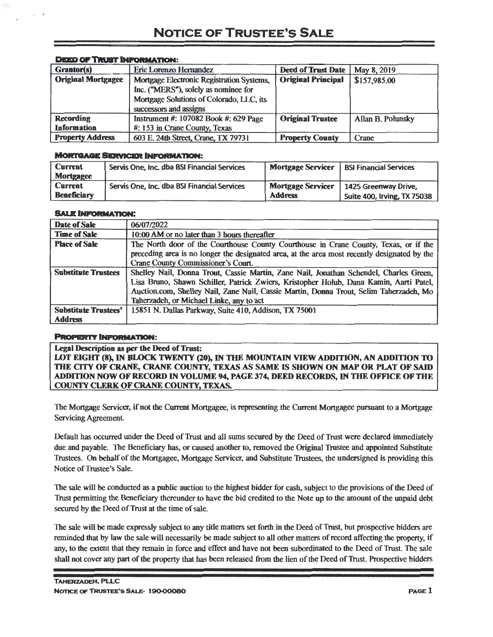| Grantor(s)                | Eric Lorenzo Hernandez                                                            | <b>Deed of Trust Date</b> | May 8, 2019       |
|---------------------------|-----------------------------------------------------------------------------------|---------------------------|-------------------|
| <b>Original Mortgagee</b> | Mortgage Electronic Registration Systems,<br>Inc. ("MERS"), solely as nominee for | <b>Original Principal</b> | \$157,985.00      |
|                           | Mortgage Solutions of Colorado, LLC, its<br>successors and assigns                |                           |                   |
| <b>Recording</b>          | Instrument #: 107082 Book #: 629 Page                                             | <b>Original Trustee</b>   | Allan B. Polunsky |
| <b>Information</b>        | #: 153 in Crane County, Texas                                                     |                           |                   |
| <b>Property Address</b>   | 603 E. 24th Street, Crane, TX 79731                                               | <b>Property County</b>    | Crane             |

## **DEED OF TRUBT INFORMATION:**

## **MORTGAGE SERVICER INFORMATION:**

| <b>Current</b>     | Servis One, Inc. dba BSI Financial Services | <b>Mortgage Servicer</b> | <b>BSI Financial Services</b> |
|--------------------|---------------------------------------------|--------------------------|-------------------------------|
| <b>Mortgagee</b>   |                                             |                          |                               |
| <b>Current</b>     | Servis One, Inc. dba BSI Financial Services | <b>Mortgage Servicer</b> | 1425 Greenway Drive.          |
| <b>Beneficiary</b> |                                             | <b>Address</b>           | Suite 400, Irving, TX 75038   |

## **SALE INFORMATION:**

| Date of Sale                                  | 06/07/2022                                                                                                                                                                                                                                                                                                             |
|-----------------------------------------------|------------------------------------------------------------------------------------------------------------------------------------------------------------------------------------------------------------------------------------------------------------------------------------------------------------------------|
| <b>Time of Sale</b>                           | 10:00 AM or no later than 3 hours thereafter                                                                                                                                                                                                                                                                           |
| <b>Place of Sale</b>                          | The North door of the Courthouse County Courthouse in Crane County, Texas, or if the<br>preceding area is no longer the designated area, at the area most recently designated by the<br>Crane County Commissioner's Court.                                                                                             |
| <b>Substitute Trustees</b>                    | Shelley Nail, Donna Trout, Cassie Martin, Zane Nail, Jonathan Schendel, Charles Green,<br>Lisa Bruno, Shawn Schiller, Patrick Zwiers, Kristopher Holub, Dana Kamin, Aarti Patel,<br>Auction.com, Shelley Nail, Zane Nail, Cassie Martin, Donna Trout, Selim Taherzadeh, Mo<br>Taherzadeh, or Michael Linke, any to act |
| <b>Substitute Trustees'</b><br><b>Address</b> | 15851 N. Dallas Parkway, Suite 410, Addison, TX 75001                                                                                                                                                                                                                                                                  |

## **PROPERTY INFORMATION:**

Legal Description as per the Deed of Trust: LOT EIGHT (8), IN BLOCK TWENTY (20), IN THE MOUNTAIN VIEW ADDITION, AN ADDITION TO THE CITY OF CRANE, CRANE COUNTY, TEXAS AS SAME IS SHOWN ON MAP OR PLAT OF SAID ADDITION NOW OF RECORD IN VOLUME 94, PAGE 374, DEED RECORDS, IN THE OFFICE OF THE COUNTY CLERK OF CRANE COUNTY. TEXAS.

The Mortgage Servicer, if not the Current Mortgagee, is representing the Current Mortgagee pursuant to a Mortgage Servicing Agreement.

Default has occurred under the Deed of Trust and all sums secured by the Deed of Trust were declared immediately due and payable. The Beneficiary has, or caused another to, removed the Original Trustee and appointed Substitute Trustees. On behalf of the Mortgagee, Mortgage Servicer, and Substitute Trustees, the undersigned is providing this Notice of Trustee's Sale.

The sale will be conducted as a public auction to the highest bidder for cash, subject to the provisions of the Deed of Trust permitting the Beneficiary thereunder to have the bid credited to the Note up to the amount of the unpaid debt secured by the Deed of Trust at the time of sale.

The sale will be made expressly subject to any title matters set forth in the Deed of Trust, but prospective bidders are reminded that by law the sale will necessarily be made subject to all other matters of record affecting the property, if any, to the extent that they remain in force and effect and have not been subordinated to the Deed of Trust. The sale shall not cover any part of the property that has been released from the lien of the Deed of Trust. Prospective bidders